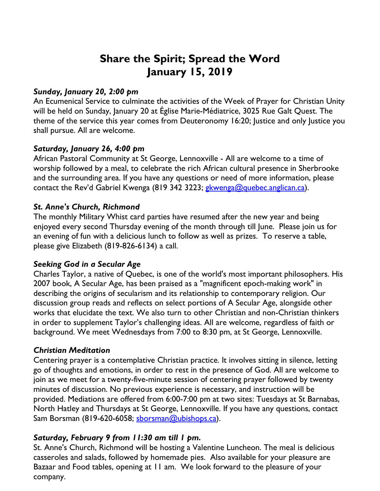# **Share the Spirit; Spread the Word January 15, 2019**

#### *Sunday, January 20, 2:00 pm*

An Ecumenical Service to culminate the activities of the Week of Prayer for Christian Unity will be held on Sunday, January 20 at Église Marie-Médiatrice, 3025 Rue Galt Quest. The theme of the service this year comes from Deuteronomy 16:20; Justice and only Justice you shall pursue. All are welcome.

# *Saturday, January 26, 4:00 pm*

African Pastoral Community at St George, Lennoxville - All are welcome to a time of worship followed by a meal, to celebrate the rich African cultural presence in Sherbrooke and the surrounding area. If you have any questions or need of more information, please contact the Rev'd Gabriel Kwenga (819 342 3223; gkwenga@quebec.anglican.ca).

# *St. Anne's Church, Richmond*

The monthly Military Whist card parties have resumed after the new year and being enjoyed every second Thursday evening of the month through till June. Please join us for an evening of fun with a delicious lunch to follow as well as prizes. To reserve a table, please give Elizabeth (819-826-6134) a call.

# *Seeking God in a Secular Age*

Charles Taylor, a native of Quebec, is one of the world's most important philosophers. His 2007 book, A Secular Age, has been praised as a "magnificent epoch-making work" in describing the origins of secularism and its relationship to contemporary religion. Our discussion group reads and reflects on select portions of A Secular Age, alongside other works that elucidate the text. We also turn to other Christian and non-Christian thinkers in order to supplement Taylor's challenging ideas. All are welcome, regardless of faith or background. We meet Wednesdays from 7:00 to 8:30 pm, at St George, Lennoxville.

# *Christian Meditation*

Centering prayer is a contemplative Christian practice. It involves sitting in silence, letting go of thoughts and emotions, in order to rest in the presence of God. All are welcome to join as we meet for a twenty-five-minute session of centering prayer followed by twenty minutes of discussion. No previous experience is necessary, and instruction will be provided. Mediations are offered from 6:00-7:00 pm at two sites: Tuesdays at St Barnabas, North Hatley and Thursdays at St George, Lennoxville. If you have any questions, contact Sam Borsman (819-620-6058; sborsman@ubishops.ca).

# *Saturday, February 9 from 11:30 am till 1 pm.*

St. Anne's Church, Richmond will be hosting a Valentine Luncheon. The meal is delicious casseroles and salads, followed by homemade pies. Also available for your pleasure are Bazaar and Food tables, opening at 11 am. We look forward to the pleasure of your company.